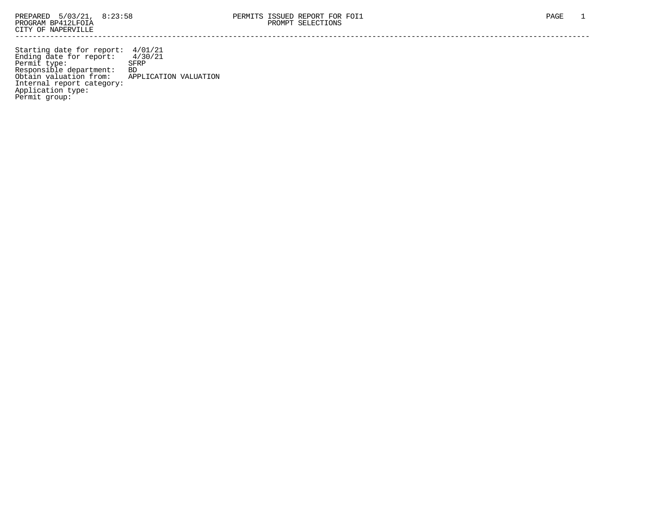Starting date for report: 4/01/21 Ending date for report: 4/30/21 Permit type: SFRP Responsible department: BD Obtain valuation from: APPLICATION VALUATION Internal report category: Application type: Permit group: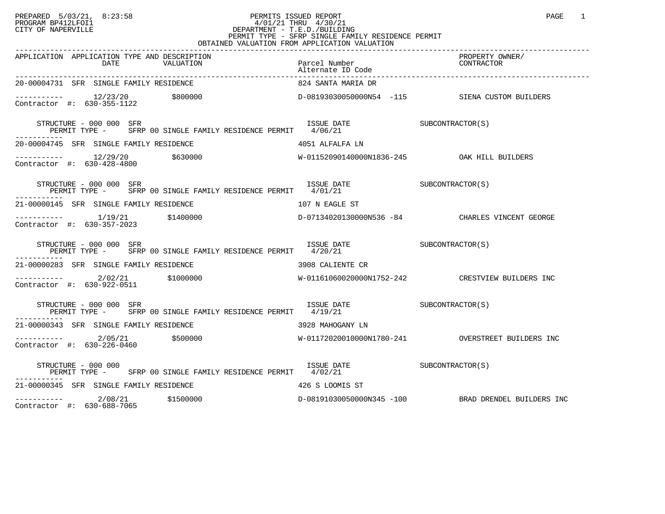### PREPARED 5/03/21, 8:23:58 PERMITS ISSUED REPORT<br>PROGRAM BP412LFOI1 PAGE 1 PROGRAM BP412LFOI1 4/01/21 THRU 4/30/21 CITY OF NAPERVILLE **Example 20** CITY OF NAPERVILLE CITY OF NAPERVILLE<br>
PERMIT TYPE - SFRP SINGLE FAMILY RESIDENCE PERMIT<br>
PERMIT TYPE - SFRP SINGLE FAMILY RESIDENCE PERMIT OBTAINED VALUATION FROM APPLICATION VALUATION

| APPLICATION APPLICATION TYPE AND DESCRIPTION                                                                                                                                                                                                                                                                            | Parcel Number<br>Alternate ID Code | PROPERTY OWNER/                                     |
|-------------------------------------------------------------------------------------------------------------------------------------------------------------------------------------------------------------------------------------------------------------------------------------------------------------------------|------------------------------------|-----------------------------------------------------|
| 20-00004731 SFR SINGLE FAMILY RESIDENCE                                                                                                                                                                                                                                                                                 | 824 SANTA MARIA DR                 |                                                     |
| $\begin{tabular}{lcccccc} \texttt{-----} & & 12/23/20 & & $800000 & & & & & \texttt{D}-08193030050000N54 & -115 & & & & \texttt{SIENA CUSTOM BULDERS} \\ \texttt{Contractor & \texttt{+}:} & 630-355-1122 & & & $800000 & & & & \texttt{D}-0819303005000N54 & -115 & & & & \texttt{SIENA CUSTOM BULDERS} \end{tabular}$ |                                    |                                                     |
| $\begin{tabular}{lllllll} \textbf{STRUCTURE} & 000 000 & SFR & 1SSUE & DATE \\ \textbf{PERMIT} & TYPE & - & SFRP & 00 & SINGLE FAMILY & RESIDENCE PERMIT & 4/06/21 & & & & & & & & & & & & & & & \\ \end{tabular}$                                                                                                      |                                    |                                                     |
| 20-00004745 SFR SINGLE FAMILY RESIDENCE                               4051 ALFALFA LN                                                                                                                                                                                                                                   |                                    |                                                     |
| $\begin{array}{cccccccc} - & & & 12/29/20 & & 5630000 & & & & & \text{W-01152090140000N1836-245 & & & & \text{OAK HILL BULDERS} \\ \text{Contractor & \#:} & 630-428-4800 & & & & & \text{W-01152090140000N1836-245 & & & \text{OAK HILL BULDERS} \end{array}$                                                          |                                    |                                                     |
| ISSUE DATE SUBCONTRACTOR(S)<br>STRUCTURE – 000 000 SFR<br>PERMIT TYPE - SFRP 00 SINGLE FAMILY RESIDENCE PERMIT 4/01/21                                                                                                                                                                                                  |                                    |                                                     |
| 21-00000145 SFR SINGLE FAMILY RESIDENCE                                                                                                                                                                                                                                                                                 | 107 N EAGLE ST                     |                                                     |
| ----------- 1/19/21 \$1400000 \$1400000 D-07134020130000N536 -84 CHARLES VINCENT GEORGE<br>Contractor #: 630-357-2023                                                                                                                                                                                                   |                                    |                                                     |
| SUBCONTRACTOR(S)<br>PERMIT TYPE - SFRP 00 SINGLE FAMILY RESIDENCE PERMIT 4/20/21<br>-----<br>STRUCTURE - 000 000 SFR                                                                                                                                                                                                    |                                    |                                                     |
| 21-00000283 SFR SINGLE FAMILY RESIDENCE THE SERIE OR SPORT CONTREST OR SHOW AND SERIE OR SERIES OF STRING AND THE SERIES OF STRING AND THE SERIES OF STRING AND STRING AND STRING AND STRING AND STRING AND STRING AND STRING                                                                                           |                                    |                                                     |
|                                                                                                                                                                                                                                                                                                                         |                                    |                                                     |
| STRUCTURE - 000 000 SFR<br>PERMIT TYPE - SFRP 00 SINGLE FAMILY RESIDENCE PERMIT 4/19/21                                                                                                                                                                                                                                 | ISSUE DATE SUBCONTRACTOR(S)        |                                                     |
| 21-00000343 SFR SINGLE FAMILY RESIDENCE<br>3928 MAHOGANY LN                                                                                                                                                                                                                                                             |                                    |                                                     |
| ----------- 2/05/21 \$500000    \$500000    \$500000    \$500000    \$500000    \$50000    \$50000    \$50000    \$5000<br>Contractor #: 630-226-0460                                                                                                                                                                   |                                    |                                                     |
| $\begin{array}{cccc}\n & \text{SUE DATE} \\  & \text{PERMIT TYPE} - \\  & \text{SFRP 00 SINGLE FAMILY RESIDENCE PERMIT} & \text{4/02/21} \\ \end{array}$                                                                                                                                                                |                                    |                                                     |
| 21-00000345 SFR SINGLE FAMILY RESIDENCE                                                                                                                                                                                                                                                                                 | 426 S LOOMIS ST                    |                                                     |
| $\frac{1}{2}$ = $\frac{1}{2}$ = $\frac{2}{0.08/21}$ $\frac{1500000}{2}$<br>Contractor #: 630-688-7065<br>Contractor #: 630-688-7065                                                                                                                                                                                     |                                    | D-08191030050000N345 -100 BRAD DRENDEL BUILDERS INC |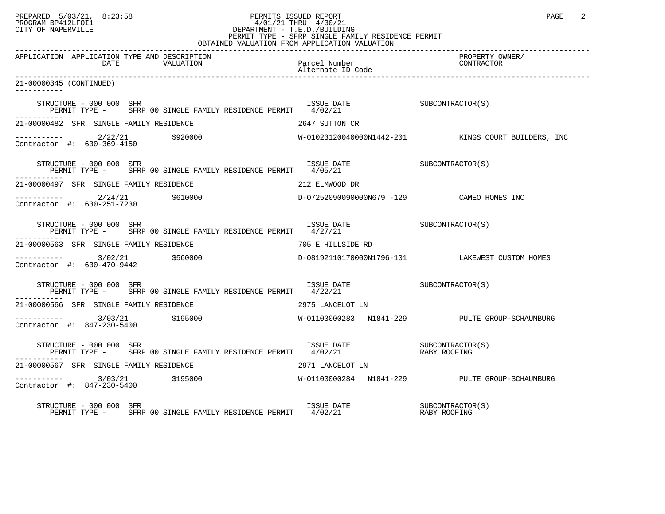# PREPARED 5/03/21, 8:23:58 PERMITS ISSUED REPORT<br>PROGRAM BP412LFOI1 PAGE 2 PROGRAM BP412LFOI1 4/01/21 THRU 4/30/21 CITY OF NAPERVILLE **Example 20** CITY OF NAPERVILLE PERMIT TYPE - SFRP SINGLE FAMILY RESIDENCE PERMIT

| OBTAINED VALUATION FROM APPLICATION VALUATION                                                                                                                                                                                                                                                                                                                                    |                                           |                                                     |
|----------------------------------------------------------------------------------------------------------------------------------------------------------------------------------------------------------------------------------------------------------------------------------------------------------------------------------------------------------------------------------|-------------------------------------------|-----------------------------------------------------|
| APPLICATION APPLICATION TYPE AND DESCRIPTION<br>DATE<br>VALUATION                                                                                                                                                                                                                                                                                                                | Parcel Number<br>Alternate ID Code        | PROPERTY OWNER/<br>CONTRACTOR                       |
| 21-00000345 (CONTINUED)<br>----------                                                                                                                                                                                                                                                                                                                                            |                                           |                                                     |
| STRUCTURE - 000 000 SFR<br>SUBCONTRACTOR(S)<br>PERMIT TYPE - SFRP 00 SINGLE FAMILY RESIDENCE PERMIT 4/02/21                                                                                                                                                                                                                                                                      |                                           |                                                     |
| 21-00000482 SFR SINGLE FAMILY RESIDENCE                                                                                                                                                                                                                                                                                                                                          | 2647 SUTTON CR                            |                                                     |
| $\begin{array}{cccc}\n-2 & -2 & -2 & -2 \\ \text{Contractor} & +2 & 630-369-4150 & \text{5920000}\n\end{array}$                                                                                                                                                                                                                                                                  |                                           | W-01023120040000N1442-201 KINGS COURT BUILDERS, INC |
| ISSUE DATE SUBCONTRACTOR(S)<br>STRUCTURE - 000 000 SFR<br>PERMIT TYPE - SFRP 00 SINGLE FAMILY RESIDENCE PERMIT 4/05/21                                                                                                                                                                                                                                                           |                                           |                                                     |
| 21-00000497 SFR SINGLE FAMILY RESIDENCE                                                                                                                                                                                                                                                                                                                                          | 212 ELMWOOD DR                            |                                                     |
| $\begin{array}{cccc}\n-2 & -2 & -2 & -2 \\ \text{Contractor} & +2 & 630-251-7230 & & 5610000\n\end{array}$                                                                                                                                                                                                                                                                       | D-07252090090000N679 -129 CAMEO HOMES INC |                                                     |
| STRUCTURE - 000 000 SFR                                                                                                                                                                                                                                                                                                                                                          |                                           |                                                     |
| 21-00000563 SFR SINGLE FAMILY RESIDENCE                                                                                                                                                                                                                                                                                                                                          | 705 E HILLSIDE RD                         |                                                     |
| Contractor #: 630-470-9442                                                                                                                                                                                                                                                                                                                                                       |                                           | D-08192110170000N1796-101 LAKEWEST CUSTOM HOMES     |
| ISSUE DATE SUBCONTRACTOR(S)<br>STRUCTURE - 000 000 SFR<br>PERMIT TYPE - SFRP 00 SINGLE FAMILY RESIDENCE PERMIT 4/22/21                                                                                                                                                                                                                                                           |                                           |                                                     |
| 21-00000566 SFR SINGLE FAMILY RESIDENCE                                                                                                                                                                                                                                                                                                                                          | 2975 LANCELOT LN                          |                                                     |
| ----------- 3/03/21 \$195000<br>Contractor #: 847-230-5400                                                                                                                                                                                                                                                                                                                       |                                           | W-01103000283 N1841-229 PULTE GROUP-SCHAUMBURG      |
| $\begin{tabular}{lllllllll} \textbf{STRUCTURE} & 000 000 & SFR & 1S SUE & DATE & 000 & SFR & 000 & SFR & 000 & SINGLE & FAMILY & RESIDENCE & PERMIT & 4/02/21 & 0000 & RABY ROOTING & 0000 & SFR & 0000 & SINGLE & FAMILY & RESIDENCE & PERMIT & 4/02/21 & 00000 & 00000 & 00000 & 00000 & 00000 & 00000 & 00000 & 00000 & 00000 & 00000 & 00000 & 0$<br>STRUCTURE - 000 000 SFR |                                           |                                                     |
| 21-00000567 SFR SINGLE FAMILY RESIDENCE                                                                                                                                                                                                                                                                                                                                          | 2971 LANCELOT LN                          |                                                     |
| ---------- 3/03/21 \$195000 4 W-01103000284 N1841-229 PULTE GROUP-SCHAUMBURG<br>Contractor #: 847-230-5400                                                                                                                                                                                                                                                                       |                                           |                                                     |
| STRUCTURE - 000 000 SFR                                                                                                                                                                                                                                                                                                                                                          |                                           |                                                     |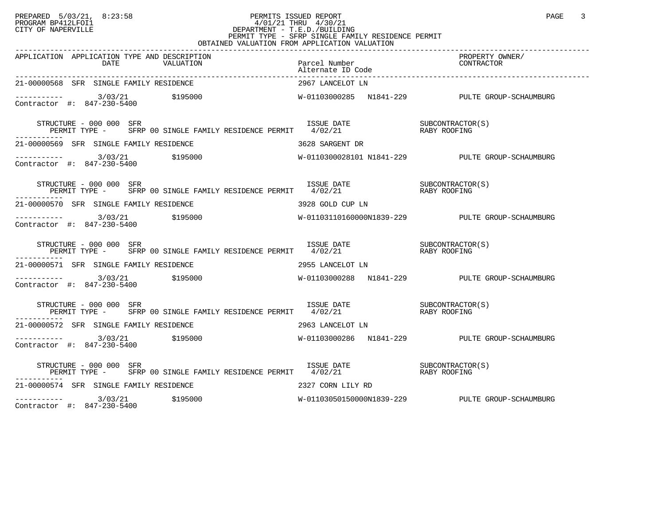### PREPARED 5/03/21, 8:23:58 PERMITS ISSUED REPORT<br>PROGRAM BP412LFOI1 PAGE 3 PROGRAM BP412LFOI1 4/01/21 THRU 4/30/21 CITY OF NAPERVILLE **Example 20** CITY OF NAPERVILLE CITY OF NAPERVILLE<br>
PERMIT TYPE - SFRP SINGLE FAMILY RESIDENCE PERMIT<br>
PERMIT TYPE - SFRP SINGLE FAMILY RESIDENCE PERMIT OBTAINED VALUATION FROM APPLICATION VALUATION

| APPLICATION APPLICATION TYPE AND DESCRIPTION                                                                                                                                                                                                                                                                                                                                                                                                    |                   | PROPERTY OWNER/                                  |
|-------------------------------------------------------------------------------------------------------------------------------------------------------------------------------------------------------------------------------------------------------------------------------------------------------------------------------------------------------------------------------------------------------------------------------------------------|-------------------|--------------------------------------------------|
| 21-00000568 SFR SINGLE FAMILY RESIDENCE                                                                                                                                                                                                                                                                                                                                                                                                         | 2967 LANCELOT LN  |                                                  |
|                                                                                                                                                                                                                                                                                                                                                                                                                                                 |                   |                                                  |
| $\begin{array}{cccc} \texttt{STRUCTURE} & - & 000 & 000 & \texttt{SFR} \\ \texttt{PERMIT} & \texttt{TPRE} & - & \texttt{SFRP} & 00 & \texttt{SINGLE FAMILY} & \texttt{RESIDENCE PERMIT} & 4/02/21 & \texttt{RABY ROOFING} \end{array}$                                                                                                                                                                                                          |                   |                                                  |
| 21-00000569 SFR SINGLE FAMILY RESIDENCE THE SERIES RARGENT DR                                                                                                                                                                                                                                                                                                                                                                                   |                   |                                                  |
| $\begin{array}{cccc}\n-2 & -2 & -2 & -2 \\ \text{Contractor} & +2 & 847 & -230 & -5400 \\ \end{array}$ \$195000                                                                                                                                                                                                                                                                                                                                 |                   | W-0110300028101 N1841-229 PULTE GROUP-SCHAUMBURG |
| STRUCTURE – 000 000 SFR<br>PERMIT TYPE – SFRP 00 SINGLE FAMILY RESIDENCE PERMIT 4/02/21 – RABY ROOFING<br>STRUCTURE - 000 000 SFR                                                                                                                                                                                                                                                                                                               |                   |                                                  |
| 21-00000570 SFR SINGLE FAMILY RESIDENCE THE STATE STATE STATE SERIES AND THE STATE STATE STATE STATE STATE STATE STATE STATE STATE STATE STATE STATE STATE STATE STATE STATE STATE STATE STATE STATE STATE STATE STATE STATE S                                                                                                                                                                                                                  |                   |                                                  |
| Contractor #: 847-230-5400                                                                                                                                                                                                                                                                                                                                                                                                                      |                   |                                                  |
| $\begin{tabular}{lllllllllll} \multicolumn{2}{c}{STRUCTURE} & - & 000 & 000 & SFR & \\ \multicolumn{2}{c}{FERMIT} & TYPE & - & SFRP & 00 & SINGLE & FAMILY & RESIDENCE & PERMIT & & 4/02/21 & & \\ \multicolumn{2}{c}{PERMIT} & TYPE & - & SFRP & 00 & SINGLE & FAMILY & RESIDENCE & PERMIT & & 4/02/21 & & \\ \multicolumn{2}{c}{PERMIT} & 4/02/21 & & & & RABY & ROOFING & \\ \multicolumn{2}{c}{PERMIT} & 00 & 000 & 001 & 01$<br>---------- |                   |                                                  |
| 21-00000571 SFR SINGLE FAMILY RESIDENCE                                                                                                                                                                                                                                                                                                                                                                                                         | 2955 LANCELOT LN  |                                                  |
| $---------$ 3/03/21 \$195000<br>Contractor #: 847-230-5400                                                                                                                                                                                                                                                                                                                                                                                      |                   |                                                  |
| $\begin{array}{cccc} \texttt{STRUCTURE} & - & 000 & 000 & \texttt{SFR} \\ \texttt{PERMIT} & \texttt{TYPE} & - & \texttt{SFRP} & 00 & \texttt{SINGLE FAMILY RESIDENCE PERMIT} & 4/02/21 & \texttt{RARY ROOFING} \end{array}$                                                                                                                                                                                                                     |                   |                                                  |
| 21-00000572 SFR SINGLE FAMILY RESIDENCE THE SERIES OF 2963 LANCELOT LN                                                                                                                                                                                                                                                                                                                                                                          |                   |                                                  |
| $\frac{3}{03/21}$ \$195000<br>Contractor #: 847-230-5400                                                                                                                                                                                                                                                                                                                                                                                        |                   | W-01103000286  N1841-229  PULTE GROUP-SCHAUMBURG |
| $\begin{array}{cccccc} \texttt{STRUCTURE} & - & 000 & 000 & \texttt{SFR} & & & \\ \texttt{PERMIT} & \texttt{TPRE} & - & \texttt{SFRP} & 00 & \texttt{SINGLE FAMILY} & \texttt{RESIDENCE PERMIT} & & 4/02/21 & & & \\ \texttt{PERMIT} & \texttt{TPRE} & - & \texttt{SFRP} & 00 & \texttt{SINGLE FAMILY} & \texttt{RESIDENCE PERMIT} & & 4/02/21 & & & \\ \end{array}$<br>STRUCTURE - 000 000 SFR                                                 |                   |                                                  |
| 21-00000574 SFR SINGLE FAMILY RESIDENCE                                                                                                                                                                                                                                                                                                                                                                                                         | 2327 CORN LILY RD |                                                  |
| $---------$ 3/03/21 \$195000                                                                                                                                                                                                                                                                                                                                                                                                                    |                   | W-01103050150000N1839-229 PULTE GROUP-SCHAUMBURG |

Contractor #: 847-230-5400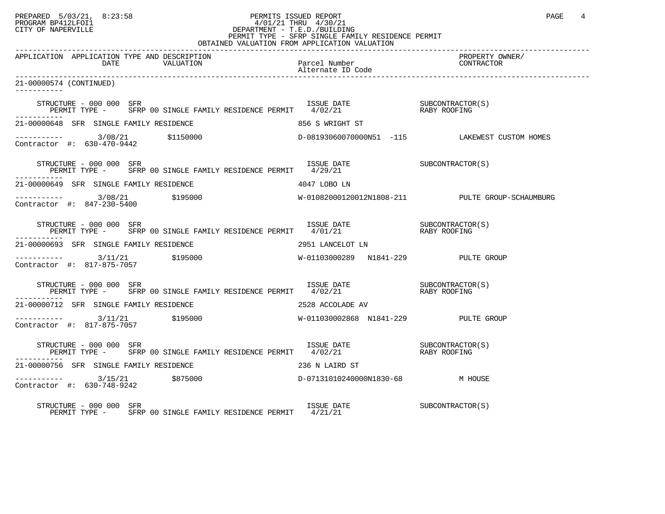# PREPARED 5/03/21, 8:23:58 PERMITS ISSUED REPORT<br>PROGRAM BP412LFOI1 PAGE 4 PROGRAM BP412LFOI1 PROGRAM BP412LFOI1 4/01/21 THRU 4/30/21 CITY OF NAPERVILLE **Example 20** CITY OF NAPERVILLE PERMIT TYPE - SFRP SINGLE FAMILY RESIDENCE PERMIT

| OBTAINED VALUATION FROM APPLICATION VALUATION                                                                                                                                                                                                                                                                                            |                             |                               |
|------------------------------------------------------------------------------------------------------------------------------------------------------------------------------------------------------------------------------------------------------------------------------------------------------------------------------------------|-----------------------------|-------------------------------|
| APPLICATION APPLICATION TYPE AND DESCRIPTION                                                                                                                                                                                                                                                                                             |                             | PROPERTY OWNER/<br>CONTRACTOR |
| 21-00000574 (CONTINUED)                                                                                                                                                                                                                                                                                                                  |                             |                               |
| STRUCTURE – 000 000 SFR<br>PERMIT TYPE – SFRP 00 SINGLE FAMILY RESIDENCE PERMIT 4/02/21 – RABY ROOFING                                                                                                                                                                                                                                   |                             |                               |
| 21-00000648 SFR SINGLE FAMILY RESIDENCE                                                                                                                                                                                                                                                                                                  | 856 S WRIGHT ST             |                               |
|                                                                                                                                                                                                                                                                                                                                          |                             |                               |
| $\begin{tabular}{llllll} \textbf{STRUCTURE} & $\color{red}000$ & $000$ & $SFR$ & & & & & & & & & & \\ \textbf{SURCONTRACTOR(S)} & & & & & & & & & & \\ \textbf{PERMIT TYPE} & - & & SFRP & 00 & SIMGLE FAMILY RESIDENCE PERMIT & & & & & & \\ \end{tabular}$                                                                             |                             |                               |
| 21-00000649 SFR SINGLE FAMILY RESIDENCE                                                                                                                                                                                                                                                                                                  | 4047 LOBO LN                |                               |
|                                                                                                                                                                                                                                                                                                                                          |                             |                               |
| $\begin{tabular}{lclclcl} \texttt{STRUCTURE} & - & 000 & 000 & SFR & & & & & & & & & & \\ \texttt{SURCTURE} & - & SFRP & 00 & SINGLE FAMILY RESIDENCE PERMIT & & 4/01/21 & & & & & & & & \\ & & & & & & & & & & & & & \\ \texttt{PERMIT TYPE} & - & SFRP & 00 & SINGLE FAMILY RESIDENCE PERMIT & & 4/01/21 & & & & & & \\ \end{tabular}$ |                             |                               |
| 21-00000693 SFR SINGLE FAMILY RESIDENCE                                                                                                                                                                                                                                                                                                  | 2951 LANCELOT LN            |                               |
|                                                                                                                                                                                                                                                                                                                                          |                             |                               |
| $\begin{array}{cccc} \texttt{STRUCTURE} & - & 000 & 000 & \texttt{SFR} \\ \texttt{PERMIT TYPE} & - & \texttt{SFRP} & 00 & \texttt{SINGLE FAMILY RESIDENCE PERMIT} & 4/02/21 & \texttt{RASY ROOFING} \\ \end{array}$                                                                                                                      |                             |                               |
| 21-00000712 SFR SINGLE FAMILY RESIDENCE                                                                                                                                                                                                                                                                                                  | 2528 ACCOLADE AV            |                               |
|                                                                                                                                                                                                                                                                                                                                          |                             |                               |
| $\begin{array}{cccc} \texttt{STRUCTURE} & - & 000 & 000 & \texttt{SFR} \\ \texttt{PERMIT TYPE} & - & \texttt{SFRP} & 00 & \texttt{SINGLE FAMILY RESIDENCE PERMIT} & 4/02/21 & \texttt{RASY ROOFING} \end{array}$                                                                                                                         |                             |                               |
| 21-00000756 SFR SINGLE FAMILY RESIDENCE                                                                                                                                                                                                                                                                                                  | 236 N LAIRD ST              |                               |
| Contractor #: 630-748-9242                                                                                                                                                                                                                                                                                                               |                             |                               |
| STRUCTURE - 000 000 SFR<br>PERMIT TYPE - SFRP 00 SINGLE FAMILY RESIDENCE PERMIT 4/21/21                                                                                                                                                                                                                                                  | ISSUE DATE SUBCONTRACTOR(S) |                               |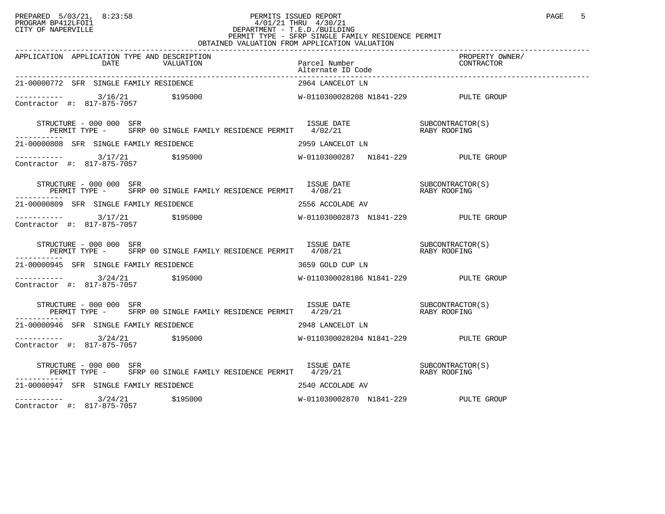### PREPARED 5/03/21, 8:23:58 PERMITS ISSUED REPORT<br>PROGRAM BP412LFOI1 PAGE 5 PROGRAM BP412LFOI1 4/01/21 THRU 4/30/21 CITY OF NAPERVILLE **Example 20** CITY OF NAPERVILLE CITY OF NAPERVILLE<br>
PERMIT TYPE - SFRP SINGLE FAMILY RESIDENCE PERMIT<br>
PERMIT TYPE - SFRP SINGLE FAMILY RESIDENCE PERMIT OBTAINED VALUATION FROM APPLICATION VALUATION

| 21-00000772 SFR SINGLE FAMILY RESIDENCE                                                                                                                                                                                                                                                                                   | 2964 LANCELOT LN                     |  |
|---------------------------------------------------------------------------------------------------------------------------------------------------------------------------------------------------------------------------------------------------------------------------------------------------------------------------|--------------------------------------|--|
|                                                                                                                                                                                                                                                                                                                           |                                      |  |
| $\begin{tabular}{lllllllll} \texttt{STRUCTURE} & 000 & 000 & SFR & 1SSUE & DATE & 000 & SFR \\ \texttt{PERMIT TYPE} & - & SFRP & 00 SINGLE FAMILY RESIDENCE PERMIT & 4/02/21 & & 0.1350 & RABY ROOTRACTOR(S) \\ \end{tabular}$                                                                                            |                                      |  |
| 21-00000808 SFR SINGLE FAMILY RESIDENCE THE SERIES OF 2959 LANCELOT LN                                                                                                                                                                                                                                                    |                                      |  |
| $\begin{array}{cccccccc} - & & & & & 3/17/21 & & & 5195000 & & & & & & & \text{W}-01103000287 & & & & & \text{N}1841-229 & & & & & & \text{PULTE} & \text{GROUP} \\ \text{Contractor} & \#: & 817-875-7057 & & & & & & & \text{W}-01103000287 & & & & \text{N}1841-229 & & & & & \text{PULTE} & \text{GROUP} \end{array}$ |                                      |  |
| STRUCTURE – 000 000 SFR<br>PERMIT TYPE – SFRP 00 SINGLE FAMILY RESIDENCE PERMIT 4/08/21 (RABY ROOFING                                                                                                                                                                                                                     |                                      |  |
| 21-00000809 SFR SINGLE FAMILY RESIDENCE                                                                                                                                                                                                                                                                                   | 2556 ACCOLADE AV                     |  |
| $\begin{array}{cccccccc} - & & & & & 3/17/21 & & & 5195000 & & & & & & & \text{W-011030002873} & \text{N1841-229} & & & & & & & \text{PULTE GROUP} \\ \text{Contractor & \#:} & & 817-875-7057 & & & & & & & \end{array}$                                                                                                 |                                      |  |
| STRUCTURE – 000 000 SFR<br>PERMIT TYPE – SFRP 00 SINGLE FAMILY RESIDENCE PERMIT 4/08/21 – RABY ROOFING<br>STRUCTURE - 000 000 SFR                                                                                                                                                                                         |                                      |  |
| 21-00000945 SFR SINGLE FAMILY RESIDENCE 6 600 13659 GOLD CUP LN                                                                                                                                                                                                                                                           |                                      |  |
| $\begin{array}{cccccccc} - & & & & & 3/24/21 & & & 5195000 & & & & & & & \text{W}-0110300028186&\text{N1841}-229 & & & & & & \text{PULTE GROUP} \\ \text{Contractor & $\text{#}:$} & & 817-875-7057 & & & & & & \text{W}-0110300028186&\text{N1841}-229 & & & & & \text{PULTE GROUP} \end{array}$                         |                                      |  |
| $\begin{array}{cccc}\texttt{STRUCTURE} & - & 000 & 000 & \texttt{SFR} \\ \texttt{PERMIT TYPE} & - & \texttt{SFRP} & 00 & \texttt{SINGLE FAMILY RESIDENCE PERMIT} & 4/29/21 & \texttt{RASY ROOFING} \end{array}$<br>STRUCTURE - 000 000 SFR                                                                                |                                      |  |
| 21-00000946 SFR SINGLE FAMILY RESIDENCE THE SERIES OF A 2948 LANCELOT LN                                                                                                                                                                                                                                                  |                                      |  |
| Contractor #: 817-875-7057                                                                                                                                                                                                                                                                                                |                                      |  |
|                                                                                                                                                                                                                                                                                                                           |                                      |  |
| 21-00000947 SFR SINGLE FAMILY RESIDENCE NAMES AND RESOLUTION AND POST OF AV                                                                                                                                                                                                                                               |                                      |  |
| ----------- 3/24/21 \$195000<br>Contractor #: 817-875-7057                                                                                                                                                                                                                                                                | W-011030002870 N1841-229 PULTE GROUP |  |